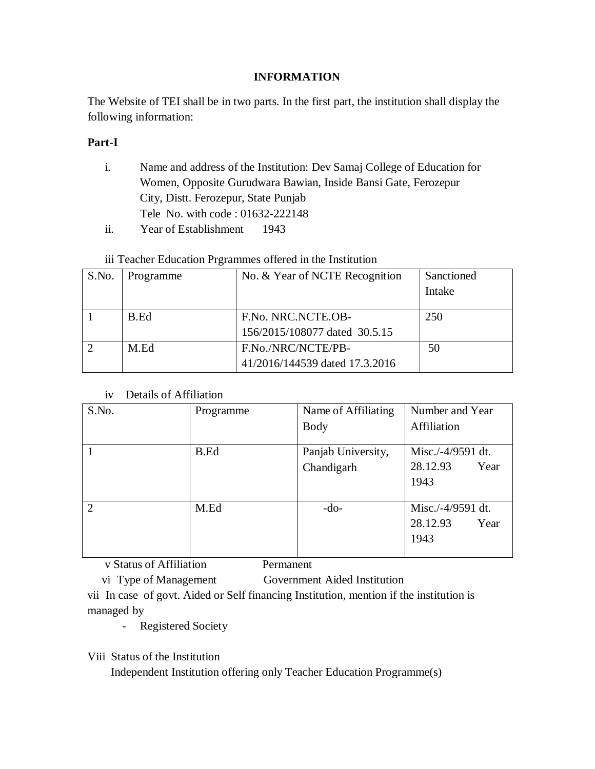### **INFORMATION**

The Website of TEI shall be in two parts. In the first part, the institution shall display the following information:

## **Part-I**

- i. Name and address of the Institution: Dev Samaj College of Education for Women, Opposite Gurudwara Bawian, Inside Bansi Gate, Ferozepur City, Distt. Ferozepur, State Punjab Tele No. with code : 01632-222148
- ii. Year of Establishment 1943

## iii Teacher Education Prgrammes offered in the Institution

| S.No. | Programme | No. & Year of NCTE Recognition                       | Sanctioned |
|-------|-----------|------------------------------------------------------|------------|
|       |           |                                                      | Intake     |
|       | B.Ed      | F.No. NRC.NCTE.OB-<br>156/2015/108077 dated 30.5.15  | 250        |
|       | M.Ed      |                                                      |            |
|       |           | F.No./NRC/NCTE/PB-<br>41/2016/144539 dated 17.3.2016 | 50         |

#### iv Details of Affiliation

| S.No.         | Programme | Name of Affiliating | Number and Year   |
|---------------|-----------|---------------------|-------------------|
|               |           | <b>Body</b>         | Affiliation       |
|               | B.Ed      | Panjab University,  | Misc./-4/9591 dt. |
|               |           | Chandigarh          | 28.12.93<br>Year  |
|               |           |                     | 1943              |
| $\mathcal{D}$ | M.Ed      | $-do-$              | Misc./-4/9591 dt. |
|               |           |                     | 28.12.93<br>Year  |
|               |           |                     | 1943              |
|               |           |                     |                   |

v Status of Affiliation Permanent

vi Type of Management Government Aided Institution

vii In case of govt. Aided or Self financing Institution, mention if the institution is managed by

- Registered Society

Viii Status of the Institution

Independent Institution offering only Teacher Education Programme(s)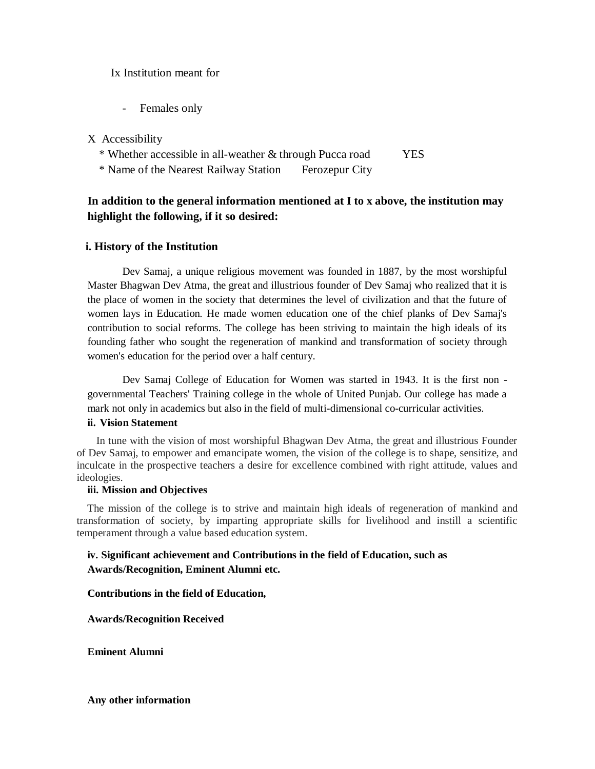Ix Institution meant for

- Females only

X Accessibility

\* Whether accessible in all-weather & through Pucca road YES

\* Name of the Nearest Railway Station Ferozepur City

## **In addition to the general information mentioned at I to x above, the institution may highlight the following, if it so desired:**

#### **i. History of the Institution**

Dev Samaj, a unique religious movement was founded in 1887, by the most worshipful Master Bhagwan Dev Atma, the great and illustrious founder of Dev Samaj who realized that it is the place of women in the society that determines the level of civilization and that the future of women lays in Education. He made women education one of the chief planks of Dev Samaj's contribution to social reforms. The college has been striving to maintain the high ideals of its founding father who sought the regeneration of mankind and transformation of society through women's education for the period over a half century.

Dev Samaj College of Education for Women was started in 1943. It is the first non governmental Teachers' Training college in the whole of United Punjab. Our college has made a mark not only in academics but also in the field of multi-dimensional co-curricular activities.

#### **ii. Vision Statement**

In tune with the vision of most worshipful Bhagwan Dev Atma, the great and illustrious Founder of Dev Samaj, to empower and emancipate women, the vision of the college is to shape, sensitize, and inculcate in the prospective teachers a desire for excellence combined with right attitude, values and ideologies.

#### **iii. Mission and Objectives**

The mission of the college is to strive and maintain high ideals of regeneration of mankind and transformation of society, by imparting appropriate skills for livelihood and instill a scientific temperament through a value based education system.

#### **iv. Significant achievement and Contributions in the field of Education, such as Awards/Recognition, Eminent Alumni etc.**

**Contributions in the field of Education,**

**Awards/Recognition Received**

**Eminent Alumni**

**Any other information**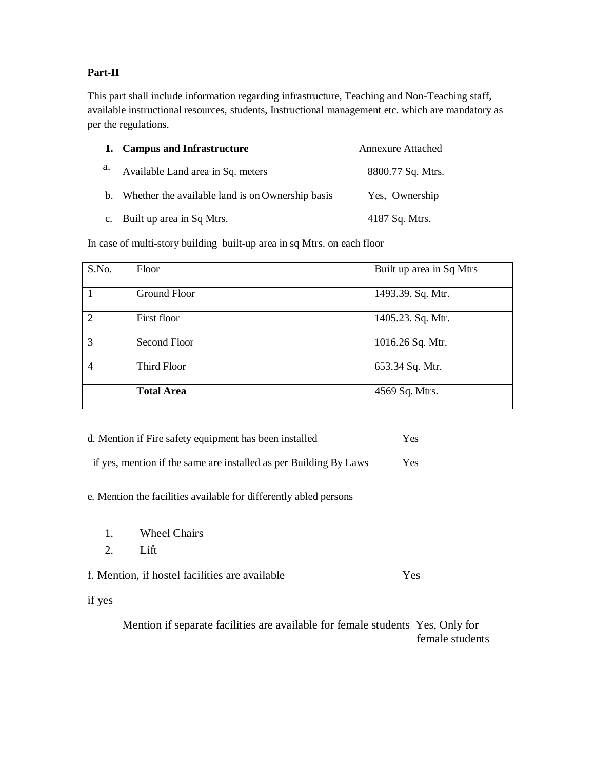### **Part-II**

This part shall include information regarding infrastructure, Teaching and Non-Teaching staff, available instructional resources, students, Instructional management etc. which are mandatory as per the regulations.

|    | 1. Campus and Infrastructure                        | <b>Annexure Attached</b> |
|----|-----------------------------------------------------|--------------------------|
| a. | Available Land area in Sq. meters                   | 8800.77 Sq. Mtrs.        |
|    | b. Whether the available land is on Ownership basis | Yes, Ownership           |
|    | c. Built up area in Sq Mtrs.                        | 4187 Sq. Mtrs.           |

In case of multi-story building built-up area in sq Mtrs. on each floor

| S.No.          | Floor             | Built up area in Sq Mtrs |
|----------------|-------------------|--------------------------|
| $\overline{1}$ | Ground Floor      | 1493.39. Sq. Mtr.        |
| $\overline{2}$ | First floor       | 1405.23. Sq. Mtr.        |
| 3              | Second Floor      | 1016.26 Sq. Mtr.         |
| $\overline{4}$ | Third Floor       | 653.34 Sq. Mtr.          |
|                | <b>Total Area</b> | 4569 Sq. Mtrs.           |

| d. Mention if Fire safety equipment has been installed | Yes. |
|--------------------------------------------------------|------|
|--------------------------------------------------------|------|

|  | if yes, mention if the same are installed as per Building By Laws | <b>Yes</b> |
|--|-------------------------------------------------------------------|------------|
|  |                                                                   |            |

### e. Mention the facilities available for differently abled persons

- 1. Wheel Chairs
- 2. Lift

f. Mention, if hostel facilities are available Yes

if yes

Mention if separate facilities are available for female students Yes, Only for female students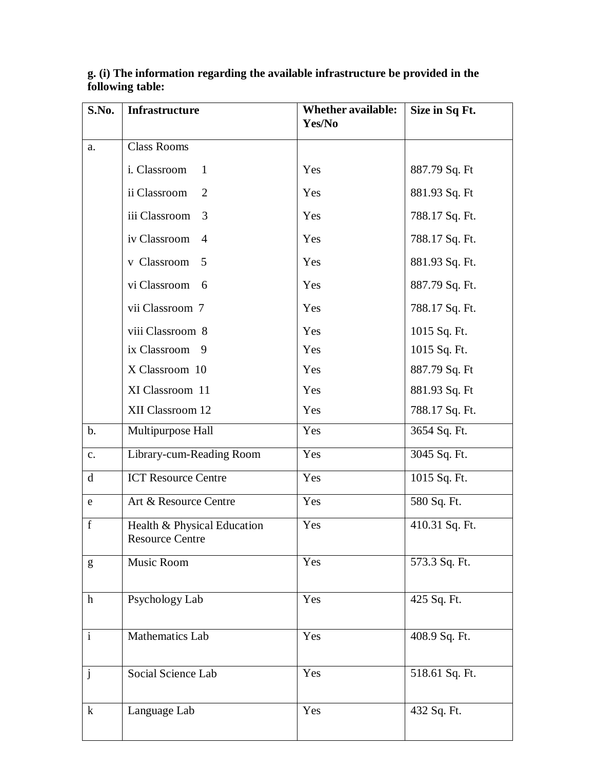| S.No.         | <b>Infrastructure</b>                                 | <b>Whether available:</b><br>Yes/No | Size in Sq Ft. |
|---------------|-------------------------------------------------------|-------------------------------------|----------------|
| a.            | <b>Class Rooms</b>                                    |                                     |                |
|               | i. Classroom<br>1                                     | Yes                                 | 887.79 Sq. Ft  |
|               | ii Classroom<br>2                                     | Yes                                 | 881.93 Sq. Ft  |
|               | iii Classroom<br>3                                    | Yes                                 | 788.17 Sq. Ft. |
|               | iv Classroom<br>$\overline{4}$                        | Yes                                 | 788.17 Sq. Ft. |
|               | v Classroom<br>5                                      | Yes                                 | 881.93 Sq. Ft. |
|               | vi Classroom<br>6                                     | Yes                                 | 887.79 Sq. Ft. |
|               | vii Classroom 7                                       | Yes                                 | 788.17 Sq. Ft. |
|               | viii Classroom 8                                      | Yes                                 | 1015 Sq. Ft.   |
|               | ix Classroom<br>9                                     | Yes                                 | 1015 Sq. Ft.   |
|               | X Classroom 10                                        | Yes                                 | 887.79 Sq. Ft  |
|               | XI Classroom 11                                       | Yes                                 | 881.93 Sq. Ft  |
|               | XII Classroom 12                                      | Yes                                 | 788.17 Sq. Ft. |
| $\mathbf b$ . | Multipurpose Hall                                     | Yes                                 | 3654 Sq. Ft.   |
| c.            | Library-cum-Reading Room                              | Yes                                 | 3045 Sq. Ft.   |
| d             | <b>ICT Resource Centre</b>                            | Yes                                 | 1015 Sq. Ft.   |
| ${\bf e}$     | Art & Resource Centre                                 | Yes                                 | 580 Sq. Ft.    |
| $\mathbf f$   | Health & Physical Education<br><b>Resource Centre</b> | Yes                                 | 410.31 Sq. Ft. |
| g             | Music Room                                            | Yes                                 | 573.3 Sq. Ft.  |
| $\mathbf{h}$  | Psychology Lab                                        | Yes                                 | 425 Sq. Ft.    |
| $\mathbf{i}$  | Mathematics Lab                                       | Yes                                 | 408.9 Sq. Ft.  |
| $\mathbf{j}$  | Social Science Lab                                    | Yes                                 | 518.61 Sq. Ft. |
| $\bf k$       | Language Lab                                          | Yes                                 | 432 Sq. Ft.    |

#### **g. (i) The information regarding the available infrastructure be provided in the following table:**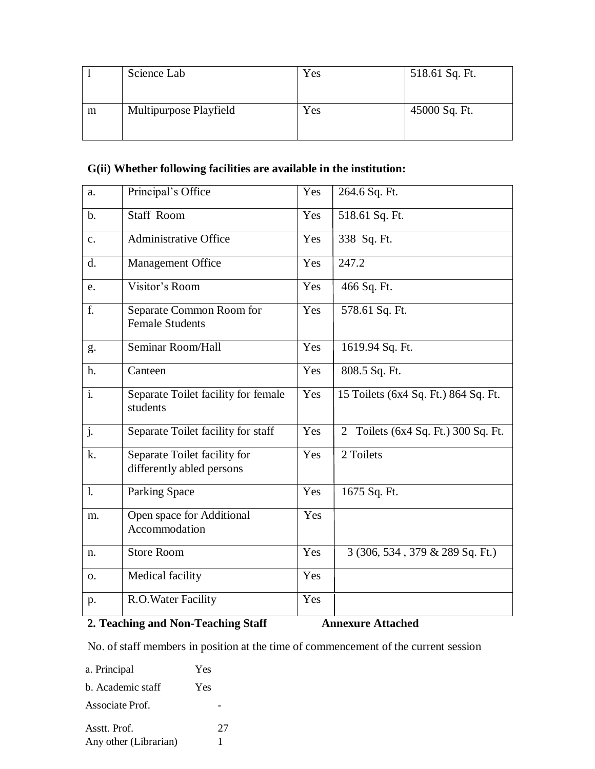|   | Science Lab            | Yes | 518.61 Sq. Ft. |
|---|------------------------|-----|----------------|
| m | Multipurpose Playfield | Yes | 45000 Sq. Ft.  |

# **G(ii) Whether following facilities are available in the institution:**

| a.             | Principal's Office                                        | Yes | 264.6 Sq. Ft.                        |
|----------------|-----------------------------------------------------------|-----|--------------------------------------|
| $\mathbf{b}$ . | <b>Staff Room</b>                                         | Yes | 518.61 Sq. Ft.                       |
| $\mathbf{c}$ . | <b>Administrative Office</b>                              | Yes | 338 Sq. Ft.                          |
| d.             | Management Office                                         | Yes | 247.2                                |
| e.             | Visitor's Room                                            | Yes | 466 Sq. Ft.                          |
| f.             | Separate Common Room for<br><b>Female Students</b>        | Yes | 578.61 Sq. Ft.                       |
| g.             | Seminar Room/Hall                                         | Yes | 1619.94 Sq. Ft.                      |
| h.             | Canteen                                                   | Yes | 808.5 Sq. Ft.                        |
| $\mathbf{i}$ . | Separate Toilet facility for female<br>students           | Yes | 15 Toilets (6x4 Sq. Ft.) 864 Sq. Ft. |
| j.             | Separate Toilet facility for staff                        | Yes | 2 Toilets (6x4 Sq. Ft.) 300 Sq. Ft.  |
| k.             | Separate Toilet facility for<br>differently abled persons | Yes | 2 Toilets                            |
| $\mathbf{l}$ . | <b>Parking Space</b>                                      | Yes | 1675 Sq. Ft.                         |
| m.             | Open space for Additional<br>Accommodation                | Yes |                                      |
| n.             | <b>Store Room</b>                                         | Yes | 3 (306, 534, 379 & 289 Sq. Ft.)      |
| 0.             | Medical facility                                          | Yes |                                      |
| p.             | R.O.Water Facility                                        | Yes |                                      |

## **2. Teaching and Non-Teaching Staff Annexure Attached**

No. of staff members in position at the time of commencement of the current session

a. Principal Yes b. Academic staff Yes Associate Prof. - Asstt. Prof. 27 Any other (Librarian) 1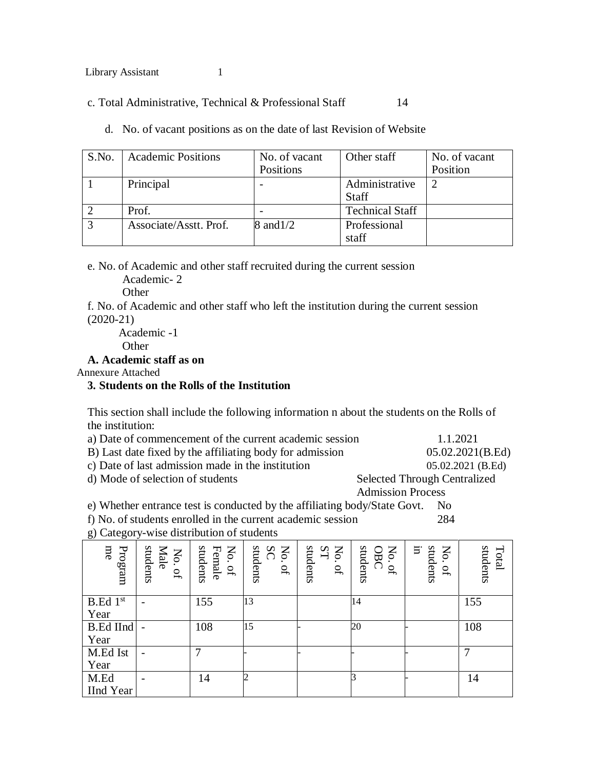c. Total Administrative, Technical & Professional Staff 14

| S.No.        | <b>Academic Positions</b> | No. of vacant<br>Positions | Other staff            | No. of vacant<br>Position |
|--------------|---------------------------|----------------------------|------------------------|---------------------------|
|              |                           |                            |                        |                           |
|              | Principal                 |                            | Administrative         |                           |
|              |                           |                            | <b>Staff</b>           |                           |
|              | Prof.                     |                            | <b>Technical Staff</b> |                           |
| $\mathbf{c}$ | Associate/Asstt. Prof.    | 8 and 1/2                  | Professional           |                           |
|              |                           |                            | staff                  |                           |

d. No. of vacant positions as on the date of last Revision of Website

e. No. of Academic and other staff recruited during the current session

Academic- 2

**Other** 

f. No. of Academic and other staff who left the institution during the current session (2020-21)

Academic -1 **Other** 

#### **A. Academic staff as on**

Annexure Attached

#### **3. Students on the Rolls of the Institution**

This section shall include the following information n about the students on the Rolls of the institution:

| a) Date of commencement of the current academic session  | 1.1.2021                            |
|----------------------------------------------------------|-------------------------------------|
| B) Last date fixed by the affiliating body for admission | 05.02.2021(B.Ed)                    |
| c) Date of last admission made in the institution        | 05.02.2021 (B.Ed)                   |
| d) Mode of selection of students                         | <b>Selected Through Centralized</b> |
|                                                          | <b>Admission Process</b>            |

e) Whether entrance test is conducted by the affiliating body/State Govt. No

f) No. of students enrolled in the current academic session 284

No. of<br>Female students<br>
No. of<br>  $\frac{N}{N}$ <br>  $\frac{N}{N}$ <br>  $\frac{N}{N}$ <br>  $\frac{N}{N}$ <br>  $\frac{N}{N}$ <br>  $\frac{N}{N}$ <br>  $\frac{N}{N}$ <br>  $\frac{N}{N}$ <br>  $\frac{N}{N}$ <br>  $\frac{N}{N}$ <br>  $\frac{N}{N}$ <br>  $\frac{N}{N}$ <br>  $\frac{N}{N}$ <br>  $\frac{N}{N}$ <br>  $\frac{N}{N}$ <br>  $\frac{N}{N}$ <br>  $\frac{N}{N}$ <br>  $\frac$ No. <u>ຊ</u> students  $\rm \lesssim$ No. <u>ם</u> students  $\Xi$ No. of OBC students in students No. of students Total B.Ed 1 st Year - | 155 | 13 | 14 | 155 B.Ed IInd Year - | 108 | 15 | - | 20 | - | 108 M.Ed Ist Year - | 7 |- |- |- |- | 7 M.Ed IInd Year - | 14 | 2 | | | | | | | | | | 14

g) Category-wise distribution of students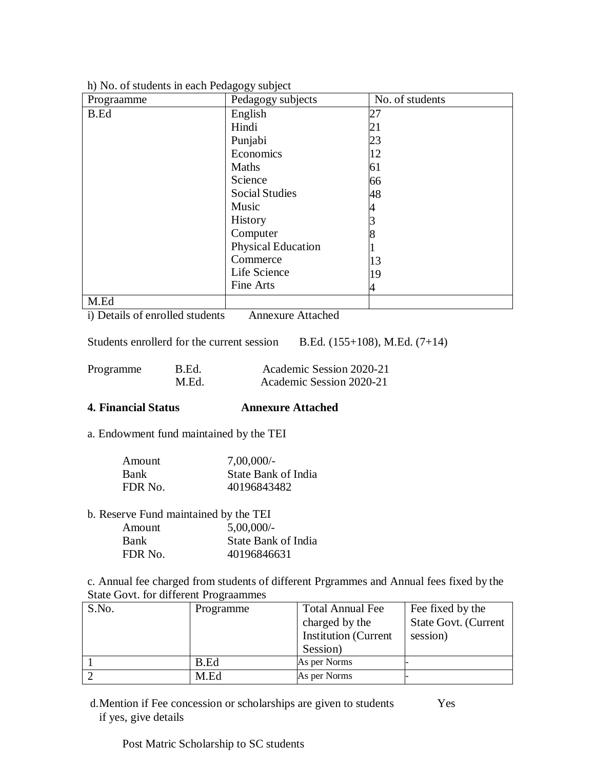| Prograamme | $\sim$ $\sim$ $\sim$ $\sim$ $\sim$ $\sim$ $\sim$<br>Pedagogy subjects | No. of students |
|------------|-----------------------------------------------------------------------|-----------------|
| B.Ed       | English                                                               | 27              |
|            | Hindi                                                                 | 21              |
|            | Punjabi                                                               | 23              |
|            | Economics                                                             | 12              |
|            | Maths                                                                 | 61              |
|            | Science                                                               | 66              |
|            | <b>Social Studies</b>                                                 | 48              |
|            | Music                                                                 |                 |
|            | History                                                               |                 |
|            | Computer                                                              |                 |
|            | <b>Physical Education</b>                                             |                 |
|            | Commerce                                                              | 13              |
|            | Life Science                                                          | 19              |
|            | Fine Arts                                                             | 4               |
| M.Ed       |                                                                       |                 |

h) No. of students in each Pedagogy subject

i) Details of enrolled students Annexure Attached

Students enrollerd for the current session B.Ed.  $(155+108)$ , M.Ed.  $(7+14)$ 

| Programme | B.Ed. | Academic Session 2020-21 |
|-----------|-------|--------------------------|
|           | M.Ed. | Academic Session 2020-21 |

## **4. Financial Status Annexure Attached**

a. Endowment fund maintained by the TEI

| Amount      | $7,00,000/$ -       |
|-------------|---------------------|
| <b>Bank</b> | State Bank of India |
| FDR No.     | 40196843482         |

b. Reserve Fund maintained by the TEI

| Amount      | $5,00,000/$ -       |
|-------------|---------------------|
| <b>Bank</b> | State Bank of India |
| FDR No.     | 40196846631         |

c. Annual fee charged from students of different Prgrammes and Annual fees fixed by the State Govt. for different Prograammes

| S.No. | Programme | <b>Total Annual Fee</b>     | Fee fixed by the            |
|-------|-----------|-----------------------------|-----------------------------|
|       |           | charged by the              | <b>State Govt. (Current</b> |
|       |           | <b>Institution</b> (Current | session)                    |
|       |           | Session)                    |                             |
|       | B.Ed      | As per Norms                |                             |
|       | M.Ed      | As per Norms                |                             |

d.Mention if Fee concession or scholarships are given to students Yes if yes, give details

Post Matric Scholarship to SC students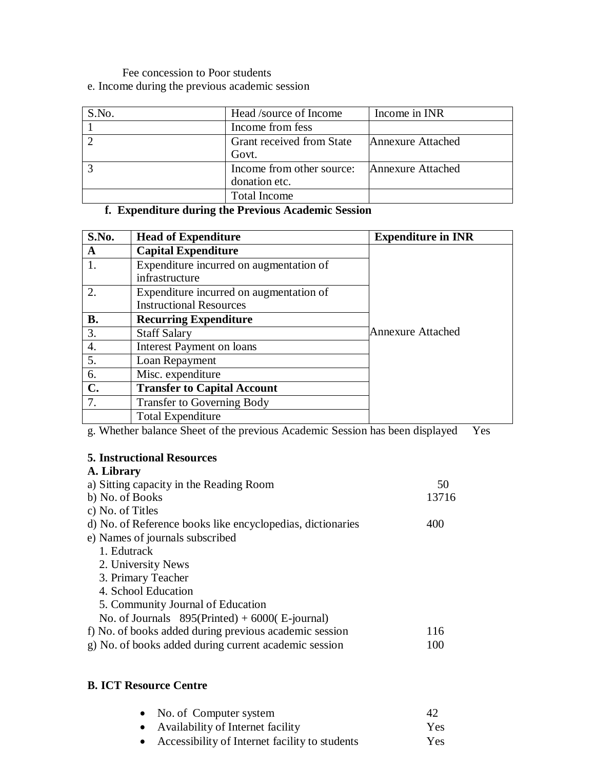Fee concession to Poor students

e. Income during the previous academic session

| S.No. | Head /source of Income                     | Income in INR     |
|-------|--------------------------------------------|-------------------|
|       | Income from fess                           |                   |
|       | Grant received from State<br>Govt.         | Annexure Attached |
|       | Income from other source:<br>donation etc. | Annexure Attached |
|       | <b>Total Income</b>                        |                   |

# **f. Expenditure during the Previous Academic Session**

| S.No.          | <b>Head of Expenditure</b>              | <b>Expenditure in INR</b> |
|----------------|-----------------------------------------|---------------------------|
| A              | <b>Capital Expenditure</b>              |                           |
| 1.             | Expenditure incurred on augmentation of |                           |
|                | infrastructure                          |                           |
| 2.             | Expenditure incurred on augmentation of |                           |
|                | <b>Instructional Resources</b>          |                           |
| <b>B.</b>      | <b>Recurring Expenditure</b>            |                           |
| 3.             | <b>Staff Salary</b>                     | Annexure Attached         |
| 4.             | Interest Payment on loans               |                           |
| 5.             | Loan Repayment                          |                           |
| 6.             | Misc. expenditure                       |                           |
| $\mathbf{C}$ . | <b>Transfer to Capital Account</b>      |                           |
| 7.             | <b>Transfer to Governing Body</b>       |                           |
|                | <b>Total Expenditure</b>                |                           |

g. Whether balance Sheet of the previous Academic Session has been displayed Yes

## **5. Instructional Resources**

# **A. Library**

| a) Sitting capacity in the Reading Room                    | 50    |
|------------------------------------------------------------|-------|
| b) No. of Books                                            | 13716 |
| c) No. of Titles                                           |       |
| d) No. of Reference books like encyclopedias, dictionaries | 400   |
| e) Names of journals subscribed                            |       |
| 1. Edutrack                                                |       |
| 2. University News                                         |       |
| 3. Primary Teacher                                         |       |
| 4. School Education                                        |       |
| 5. Community Journal of Education                          |       |
| No. of Journals $895(Printed) + 6000(E-journal)$           |       |
| f) No. of books added during previous academic session     | 116   |
| g) No. of books added during current academic session      | 100   |
|                                                            |       |

## **B. ICT Resource Centre**

|           | • No. of Computer system                       | 42  |
|-----------|------------------------------------------------|-----|
|           | • Availability of Internet facility            | Yes |
| $\bullet$ | Accessibility of Internet facility to students | Yes |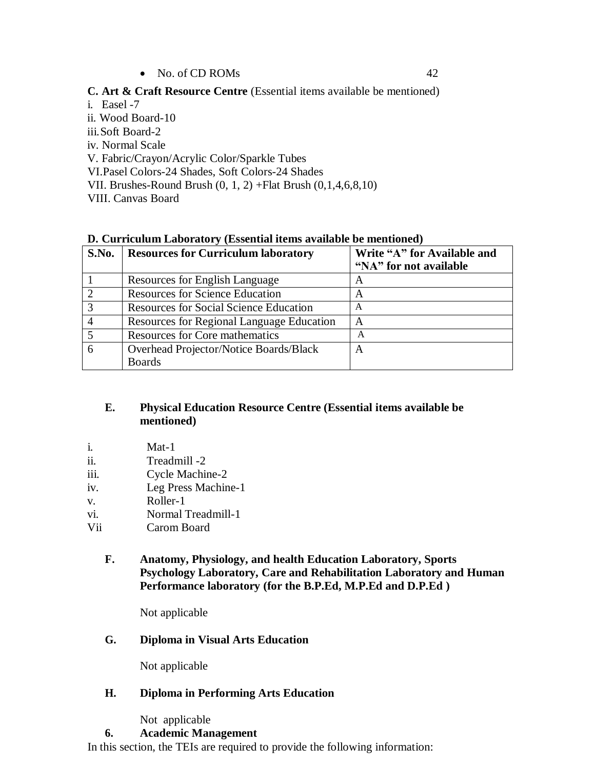$\bullet$  No. of CD ROMs 42

**C. Art & Craft Resource Centre** (Essential items available be mentioned)

i. Easel -7 ii. Wood Board-10 iii. Soft Board-2 iv. Normal Scale V. Fabric/Crayon/Acrylic Color/Sparkle Tubes VI.Pasel Colors-24 Shades, Soft Colors-24 Shades VII. Brushes-Round Brush (0, 1, 2) +Flat Brush (0,1,4,6,8,10) VIII. Canvas Board

## **D. Curriculum Laboratory (Essential items available be mentioned)**

| S.No.    | <b>Resources for Curriculum laboratory</b>    | Write "A" for Available and<br>"NA" for not available |
|----------|-----------------------------------------------|-------------------------------------------------------|
|          | Resources for English Language                | A                                                     |
| $\gamma$ | <b>Resources for Science Education</b>        | A                                                     |
|          | <b>Resources for Social Science Education</b> | A                                                     |
|          | Resources for Regional Language Education     | A                                                     |
|          | <b>Resources for Core mathematics</b>         | A                                                     |
|          | Overhead Projector/Notice Boards/Black        | А                                                     |
|          | <b>Boards</b>                                 |                                                       |

### **E. Physical Education Resource Centre (Essential items available be mentioned)**

- i. Mat-1
- ii. Treadmill -2
- iii. Cycle Machine-2
- iv. Leg Press Machine-1
- v. Roller-1
- vi. Normal Treadmill-1
- Vii Carom Board
	- **F. Anatomy, Physiology, and health Education Laboratory, Sports Psychology Laboratory, Care and Rehabilitation Laboratory and Human Performance laboratory (for the B.P.Ed, M.P.Ed and D.P.Ed )**

Not applicable

## **G. Diploma in Visual Arts Education**

Not applicable

## **H. Diploma in Performing Arts Education**

Not applicable

## **6. Academic Management**

In this section, the TEIs are required to provide the following information: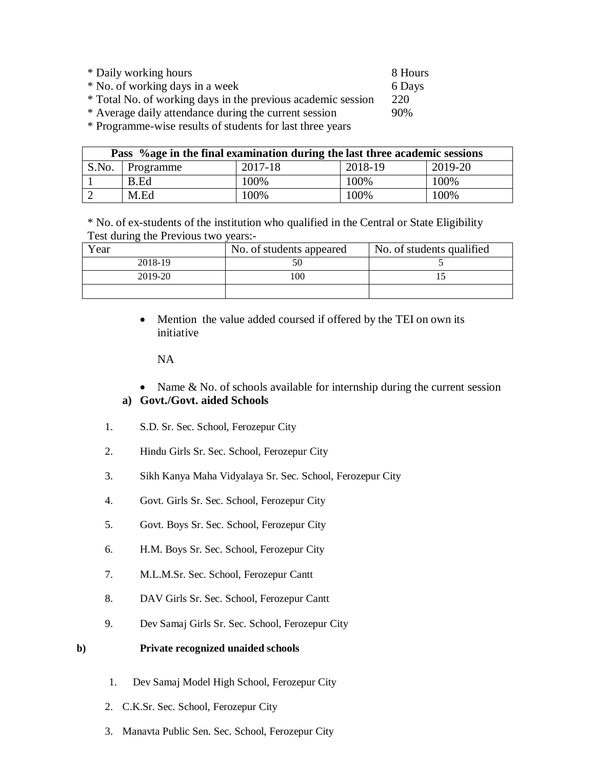| * Daily working hours                                        | 8 Hours |
|--------------------------------------------------------------|---------|
| * No. of working days in a week                              | 6 Days  |
| * Total No. of working days in the previous academic session | 220     |
| * Average daily attendance during the current session        | 90%     |

\* Programme-wise results of students for last three years

| Pass % age in the final examination during the last three academic sessions |           |         |         |         |
|-----------------------------------------------------------------------------|-----------|---------|---------|---------|
| S.No.                                                                       | Programme | 2017-18 | 2018-19 | 2019-20 |
|                                                                             | B.Ed      | 100%    | 100%    | 100\%   |
|                                                                             | M.Ed      | 100%    | 100\%   | 100\%   |

\* No. of ex-students of the institution who qualified in the Central or State Eligibility Test during the Previous two years:-

| Year    | No. of students appeared | No. of students qualified |
|---------|--------------------------|---------------------------|
| 2018-19 |                          |                           |
| 2019-20 | 0 <sup>0</sup>           |                           |
|         |                          |                           |

• Mention the value added coursed if offered by the TEI on own its initiative

NA

- Name & No. of schools available for internship during the current session **a) Govt./Govt. aided Schools**
- 1. S.D. Sr. Sec. School, Ferozepur City
- 2. Hindu Girls Sr. Sec. School, Ferozepur City
- 3. Sikh Kanya Maha Vidyalaya Sr. Sec. School, Ferozepur City
- 4. Govt. Girls Sr. Sec. School, Ferozepur City
- 5. Govt. Boys Sr. Sec. School, Ferozepur City
- 6. H.M. Boys Sr. Sec. School, Ferozepur City
- 7. M.L.M.Sr. Sec. School, Ferozepur Cantt
- 8. DAV Girls Sr. Sec. School, Ferozepur Cantt
- 9. Dev Samaj Girls Sr. Sec. School, Ferozepur City

#### **b) Private recognized unaided schools**

- 1. Dev Samaj Model High School, Ferozepur City
- 2. C.K.Sr. Sec. School, Ferozepur City
- 3. Manavta Public Sen. Sec. School, Ferozepur City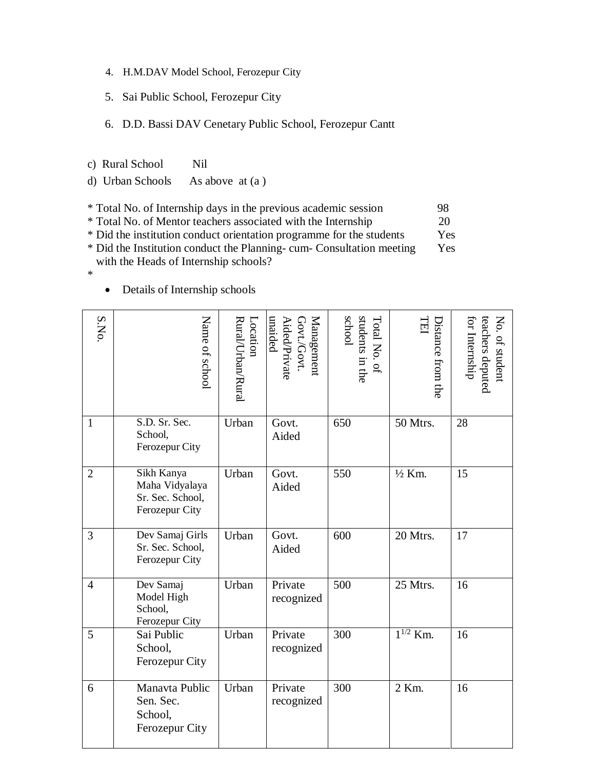- 4. H.M.DAV Model School, Ferozepur City
- 5. Sai Public School, Ferozepur City
- 6. D.D. Bassi DAV Cenetary Public School, Ferozepur Cantt
- c) Rural School Nil
- d) Urban Schools As above at (a )

|  | * Total No. of Internship days in the previous academic session | 98 |
|--|-----------------------------------------------------------------|----|
|--|-----------------------------------------------------------------|----|

\* Total No. of Mentor teachers associated with the Internship 20

- \* Did the institution conduct orientation programme for the students Yes
- \* Did the Institution conduct the Planning- cum- Consultation meeting Yes with the Heads of Internship schools?

\*

Details of Internship schools

| S.NO.          | Name of school                                                     | Rural/Urban/Rural<br>Location | Management<br>unaided<br>Govt./Govt.<br>Aided/Private | students in the<br>school<br>Total No. of | TEI<br>Distance from the | No. of student<br>for Internship<br>teachers deputed |
|----------------|--------------------------------------------------------------------|-------------------------------|-------------------------------------------------------|-------------------------------------------|--------------------------|------------------------------------------------------|
| $\mathbf{1}$   | S.D. Sr. Sec.<br>School,<br>Ferozepur City                         | Urban                         | Govt.<br>Aided                                        | 650                                       | 50 Mtrs.                 | 28                                                   |
| $\overline{2}$ | Sikh Kanya<br>Maha Vidyalaya<br>Sr. Sec. School,<br>Ferozepur City | Urban                         | Govt.<br>Aided                                        | 550                                       | $1/2$ Km.                | 15                                                   |
| 3              | Dev Samaj Girls<br>Sr. Sec. School,<br>Ferozepur City              | Urban                         | Govt.<br>Aided                                        | 600                                       | 20 Mtrs.                 | 17                                                   |
| $\overline{4}$ | Dev Samaj<br>Model High<br>School,<br>Ferozepur City               | Urban                         | Private<br>recognized                                 | 500                                       | 25 Mtrs.                 | 16                                                   |
| 5              | Sai Public<br>School,<br>Ferozepur City                            | Urban                         | Private<br>recognized                                 | 300                                       | $1^{1/2}$ Km.            | 16                                                   |
| 6              | Manavta Public<br>Sen. Sec.<br>School,<br>Ferozepur City           | Urban                         | Private<br>recognized                                 | 300                                       | 2 Km.                    | 16                                                   |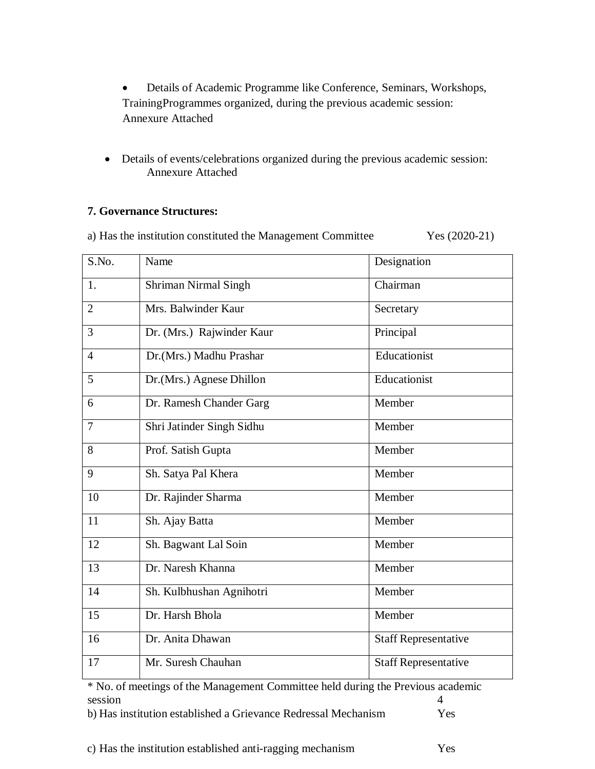- Details of Academic Programme like Conference, Seminars, Workshops, TrainingProgrammes organized, during the previous academic session: Annexure Attached
- Details of events/celebrations organized during the previous academic session: Annexure Attached

## **7. Governance Structures:**

a) Has the institution constituted the Management Committee Yes (2020-21)

| S.No.          | Name                        | Designation                 |
|----------------|-----------------------------|-----------------------------|
| 1.             | <b>Shriman Nirmal Singh</b> | Chairman                    |
| $\overline{2}$ | Mrs. Balwinder Kaur         | Secretary                   |
| 3              | Dr. (Mrs.) Rajwinder Kaur   | Principal                   |
| $\overline{4}$ | Dr.(Mrs.) Madhu Prashar     | Educationist                |
| 5              | Dr.(Mrs.) Agnese Dhillon    | Educationist                |
| 6              | Dr. Ramesh Chander Garg     | Member                      |
| $\overline{7}$ | Shri Jatinder Singh Sidhu   | Member                      |
| 8              | Prof. Satish Gupta          | Member                      |
| 9              | Sh. Satya Pal Khera         | Member                      |
| 10             | Dr. Rajinder Sharma         | Member                      |
| 11             | Sh. Ajay Batta              | Member                      |
| 12             | Sh. Bagwant Lal Soin        | Member                      |
| 13             | Dr. Naresh Khanna           | Member                      |
| 14             | Sh. Kulbhushan Agnihotri    | Member                      |
| 15             | Dr. Harsh Bhola             | Member                      |
| 16             | Dr. Anita Dhawan            | <b>Staff Representative</b> |
| 17             | Mr. Suresh Chauhan          | <b>Staff Representative</b> |

\* No. of meetings of the Management Committee held during the Previous academic session 4

| b) Has institution established a Grievance Redressal Mechanism | <b>Yes</b> |
|----------------------------------------------------------------|------------|
|----------------------------------------------------------------|------------|

c) Has the institution established anti-ragging mechanism Yes